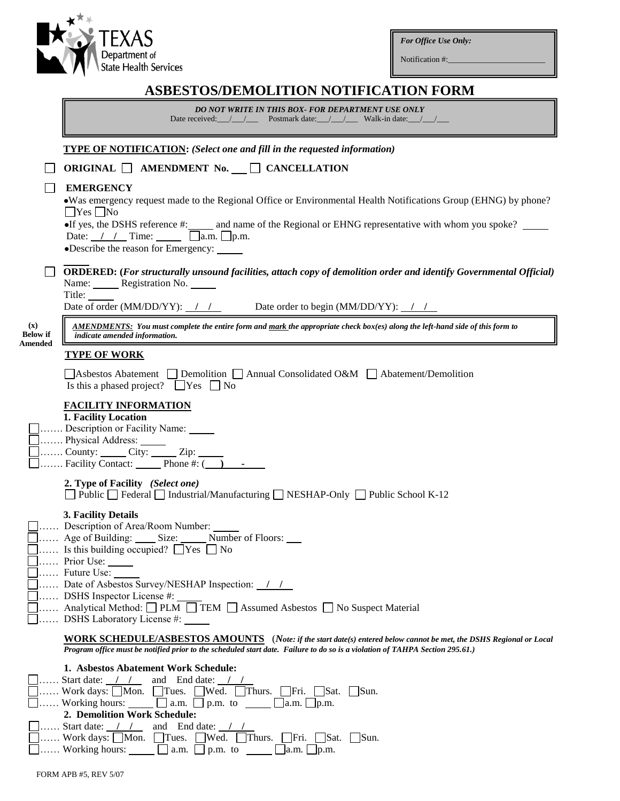*For Office Use Only:*

Notification #:

|                                   | <b>ASBESTOS/DEMOLITION NOTIFICATION FORM</b>                                                                                                                                                                                                                                                                                                                                      |
|-----------------------------------|-----------------------------------------------------------------------------------------------------------------------------------------------------------------------------------------------------------------------------------------------------------------------------------------------------------------------------------------------------------------------------------|
|                                   | DO NOT WRITE IN THIS BOX- FOR DEPARTMENT USE ONLY<br>Date received: / / Postmark date: / / / Walk-in date: / /                                                                                                                                                                                                                                                                    |
|                                   |                                                                                                                                                                                                                                                                                                                                                                                   |
|                                   | <b>TYPE OF NOTIFICATION:</b> (Select one and fill in the requested information)                                                                                                                                                                                                                                                                                                   |
|                                   | ORIGINAL AMENDMENT No. CANCELLATION                                                                                                                                                                                                                                                                                                                                               |
|                                   | <b>EMERGENCY</b><br>• Was emergency request made to the Regional Office or Environmental Health Notifications Group (EHNG) by phone?<br>$\Box$ Yes $\Box$ No<br>If yes, the DSHS reference $\#$ : and name of the Regional or EHNG representative with whom you spoke?<br>Date: $//$ Time: $\Box$ a.m. $\Box$ p.m.<br>•Describe the reason for Emergency:                         |
|                                   | <b>ORDERED:</b> (For structurally unsound facilities, attach copy of demolition order and identify Governmental Official)<br>Name: Registration No.<br>Title: $\_\_$                                                                                                                                                                                                              |
|                                   | Date of order (MM/DD/YY): / / Date order to begin (MM/DD/YY): / /                                                                                                                                                                                                                                                                                                                 |
| $(\mathbf{x})$<br><b>Below</b> if | <b>AMENDMENTS:</b> You must complete the entire form and mark the appropriate check box(es) along the left-hand side of this form to<br>indicate amended information.                                                                                                                                                                                                             |
| Amended                           | <b>TYPE OF WORK</b>                                                                                                                                                                                                                                                                                                                                                               |
|                                   | Asbestos Abatement $\Box$ Demolition $\Box$ Annual Consolidated O&M $\Box$ Abatement/Demolition<br>Is this a phased project? $\Box$ Yes $\Box$ No                                                                                                                                                                                                                                 |
|                                   | <b>FACILITY INFORMATION</b><br>1. Facility Location<br>Description or Facility Name: _____<br>Physical Address: ______<br>County: $\qquad \qquad$ City: $\qquad \qquad$ Zip:<br>Facility Contact: $\boxed{\phantom{2} \text{Phone} + \cdots }$                                                                                                                                    |
|                                   | 2. Type of Facility (Select one)<br><b>Public</b> Federal Industrial/Manufacturing NESHAP-Only Public School K-12                                                                                                                                                                                                                                                                 |
|                                   | 3. Facility Details<br>Description of Area/Room Number:<br>Age of Building: Size: Number of Floors:<br>$\Box$ Is this building occupied? $\Box$ Yes $\Box$ No<br>Prior Use:<br>Future Use:<br>Date of Asbestos Survey/NESHAP Inspection: 11<br>DSHS Inspector License #:<br>Analytical Method: D PLM D TEM D Assumed Asbestos D No Suspect Material<br>DSHS Laboratory License #: |
|                                   | <b>WORK SCHEDULE/ASBESTOS AMOUNTS</b> (Note: if the start date(s) entered below cannot be met, the DSHS Regional or Local<br>Program office must be notified prior to the scheduled start date. Failure to do so is a violation of TAHPA Section 295.61.)                                                                                                                         |
|                                   | 1. Asbestos Abatement Work Schedule:<br>Start date: / / and End date: /<br>Work days: $\Box$ Mon. $\Box$ Tues. $\Box$ Wed. $\Box$ Thurs. $\Box$ Fri. $\Box$ Sat. $\Box$ Sun.<br>Working hours: $\Box$ a.m. $\Box$ p.m. to $\Box$ a.m. $\Box$ p.m.<br>2. Demolition Work Schedule:<br>$\ldots$ Start date: $\frac{1}{\sqrt{2}}$ and End date: $\frac{1}{\sqrt{2}}$                 |

| □ Work days: Non. Tues. Wed. Thurs. Fri. Stat. Sun. |                              |                           |  |
|-----------------------------------------------------|------------------------------|---------------------------|--|
| $\Box$ Working hours:                               | $\vert$ a.m. $\vert$ p.m. to | $\vert$ a.m. $\vert$ p.m. |  |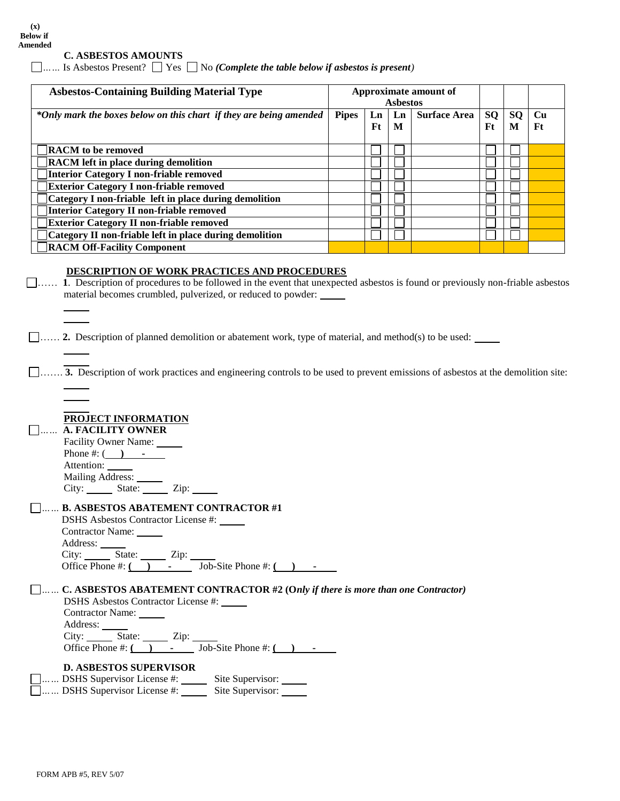### **C. ASBESTOS AMOUNTS**

*……* Is Asbestos Present?Yes No *(Complete the table below if asbestos is present)*

| <b>Asbestos-Containing Building Material Type</b>                  |              | Approximate amount of<br><b>Asbestos</b> |         |                     |                  |                |          |
|--------------------------------------------------------------------|--------------|------------------------------------------|---------|---------------------|------------------|----------------|----------|
| *Only mark the boxes below on this chart if they are being amended | <b>Pipes</b> | Ln<br>Ft                                 | Ln<br>M | <b>Surface Area</b> | <b>SQ</b><br>Ft. | <b>SQ</b><br>M | Cu<br>Ft |
| <b>RACM</b> to be removed                                          |              |                                          |         |                     |                  |                |          |
| <b>RACM</b> left in place during demolition                        |              |                                          |         |                     |                  |                |          |
| Interior Category I non-friable removed                            |              |                                          |         |                     |                  |                |          |
| <b>Exterior Category I non-friable removed</b>                     |              |                                          |         |                     |                  |                |          |
| Category I non-friable left in place during demolition             |              |                                          |         |                     |                  |                |          |
| Interior Category II non-friable removed                           |              |                                          |         |                     |                  |                |          |
| <b>Exterior Category II non-friable removed</b>                    |              |                                          |         |                     |                  |                |          |
| Category II non-friable left in place during demolition            |              |                                          |         |                     |                  |                |          |
| <b>RACM Off-Facility Component</b>                                 |              |                                          |         |                     |                  |                |          |

#### **DESCRIPTION OF WORK PRACTICES AND PROCEDURES**

 …… **1**. Description of procedures to be followed in the event that unexpected asbestos is found or previously non-friable asbestos material becomes crumbled, pulverized, or reduced to powder:

…… **2.** Description of planned demolition or abatement work, type of material, and method(s) to be used:

……. **3.** Description of work practices and engineering controls to be used to prevent emissions of asbestos at the demolition site:

### **PROJECT INFORMATION**

 *……* **A. FACILITY OWNER** Facility Owner Name: Phone #:  $($   $)$   $-$ Attention: Mailing Address: City: State: <u>Zip:</u>

### *……* **B. ASBESTOS ABATEMENT CONTRACTOR #1**

DSHS Asbestos Contractor License #: Contractor Name: Address: City: State: <u>Zip:</u> Office Phone #: **( ) -** Job-Site Phone #: **( ) -**

### *……* **C. ASBESTOS ABATEMENT CONTRACTOR #2 (O***nly if there is more than one Contractor)*

DSHS Asbestos Contractor License #: Contractor Name: Address: City: State: Zip: Office Phone #: **( ) -** Job-Site Phone #: **( ) -**

# **D. ASBESTOS SUPERVISOR**

*……* DSHS Supervisor License #: Site Supervisor: *……* DSHS Supervisor License #: Site Supervisor: